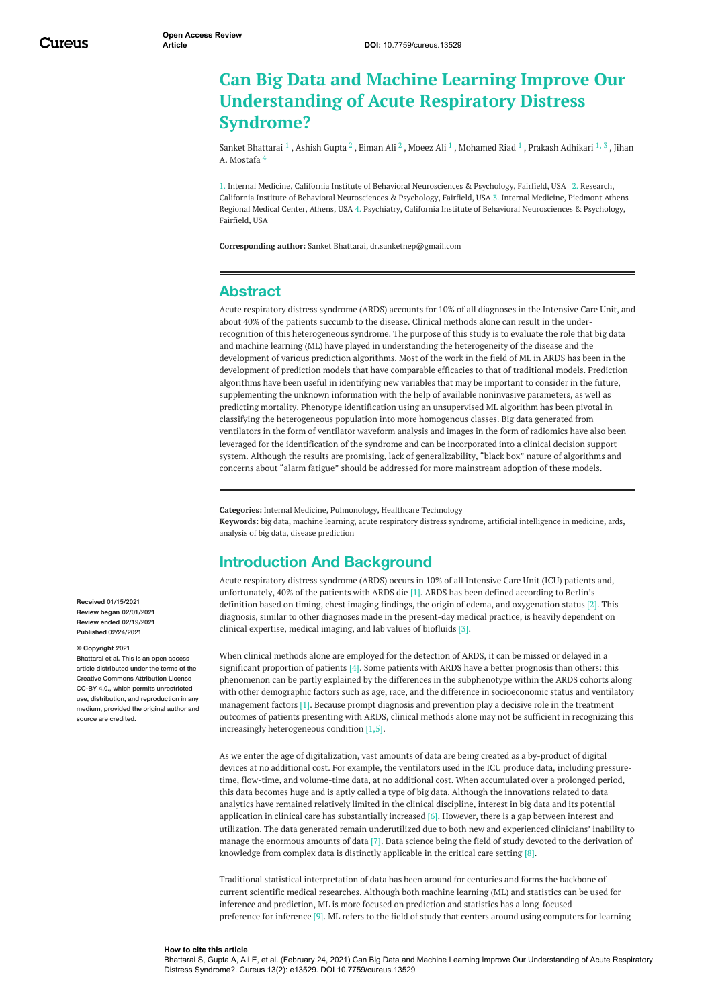# **Can Big Data and Machine Learning Improve Our Understanding of Acute Respiratory Distress Syndrome?**

Sanket [Bhattarai](https://www.cureus.com/users/215044-sanket-bhattarai)  $^1$  , [Ashish](https://www.cureus.com/users/215053-ashish-gupta) Gupta  $^2$  , [Eiman](https://www.cureus.com/users/215063-eiman-ali) Ali  $^2$  , [Moeez](https://www.cureus.com/users/202007-moeez-ali) Ali  $^1$  , [Mohamed](https://www.cureus.com/users/214911-mohamed-riad) Riad  $^1$  , Prakash [Adhikari](https://www.cureus.com/users/206880-prakash-adhikari)  $^{1,\, 3}$  , Jihan A. Mostafa 4

1. Internal Medicine, California Institute of Behavioral Neurosciences & Psychology, Fairfield, USA 2. Research, California Institute of Behavioral Neurosciences & Psychology, Fairfield, USA 3. Internal Medicine, Piedmont Athens Regional Medical Center, Athens, USA 4. Psychiatry, California Institute of Behavioral Neurosciences & Psychology, Fairfield, USA

**Corresponding author:** Sanket Bhattarai, dr.sanketnep@gmail.com

### **Abstract**

Acute respiratory distress syndrome (ARDS) accounts for 10% of all diagnoses in the Intensive Care Unit, and about 40% of the patients succumb to the disease. Clinical methods alone can result in the underrecognition of this heterogeneous syndrome. The purpose of this study is to evaluate the role that big data and machine learning (ML) have played in understanding the heterogeneity of the disease and the development of various prediction algorithms. Most of the work in the field of ML in ARDS has been in the development of prediction models that have comparable efficacies to that of traditional models. Prediction algorithms have been useful in identifying new variables that may be important to consider in the future, supplementing the unknown information with the help of available noninvasive parameters, as well as predicting mortality. Phenotype identification using an unsupervised ML algorithm has been pivotal in classifying the heterogeneous population into more homogenous classes. Big data generated from ventilators in the form of ventilator waveform analysis and images in the form of radiomics have also been leveraged for the identification of the syndrome and can be incorporated into a clinical decision support system. Although the results are promising, lack of generalizability, "black box" nature of algorithms and concerns about "alarm fatigue" should be addressed for more mainstream adoption of these models.

**Categories:** Internal Medicine, Pulmonology, Healthcare Technology **Keywords:** big data, machine learning, acute respiratory distress syndrome, artificial intelligence in medicine, ards, analysis of big data, disease prediction

## **Introduction And Background**

Acute respiratory distress syndrome (ARDS) occurs in 10% of all Intensive Care Unit (ICU) patients and, unfortunately, 40% of the patients with ARDS die [1]. ARDS has been defined according to Berlin's definition based on timing, chest imaging findings, the origin of edema, and oxygenation status [2]. This diagnosis, similar to other diagnoses made in the present-day medical practice, is heavily dependent on clinical expertise, medical imaging, and lab values of biofluids [3].

When clinical methods alone are employed for the detection of ARDS, it can be missed or delayed in a significant proportion of patients [4]. Some patients with ARDS have a better prognosis than others: this phenomenon can be partly explained by the differences in the subphenotype within the ARDS cohorts along with other demographic factors such as age, race, and the difference in socioeconomic status and ventilatory management factors [1]. Because prompt diagnosis and prevention play a decisive role in the treatment outcomes of patients presenting with ARDS, clinical methods alone may not be sufficient in recognizing this increasingly heterogeneous condition [1,5].

As we enter the age of digitalization, vast amounts of data are being created as a by-product of digital devices at no additional cost. For example, the ventilators used in the ICU produce data, including pressuretime, flow-time, and volume-time data, at no additional cost. When accumulated over a prolonged period, this data becomes huge and is aptly called a type of big data. Although the innovations related to data analytics have remained relatively limited in the clinical discipline, interest in big data and its potential application in clinical care has substantially increased  $[6]$ . However, there is a gap between interest and utilization. The data generated remain underutilized due to both new and experienced clinicians' inability to manage the enormous amounts of data [7]. Data science being the field of study devoted to the derivation of knowledge from complex data is distinctly applicable in the critical care setting [8].

Traditional statistical interpretation of data has been around for centuries and forms the backbone of current scientific medical researches. Although both machine learning (ML) and statistics can be used for inference and prediction, ML is more focused on prediction and statistics has a long-focused preference for inference [9]. ML refers to the field of study that centers around using computers for learning

**Received** 01/15/2021 **Review began** 02/01/2021 **Review ended** 02/19/2021 **Published** 02/24/2021

#### **© Copyright** 2021

Bhattarai et al. This is an open access article distributed under the terms of the Creative Commons Attribution License CC-BY 4.0., which permits unrestricted use, distribution, and reproduction in any medium, provided the original author and source are credited

#### **How to cite this article**

Bhattarai S, Gupta A, Ali E, et al. (February 24, 2021) Can Big Data and Machine Learning Improve Our Understanding of Acute Respiratory Distress Syndrome?. Cureus 13(2): e13529. DOI 10.7759/cureus.13529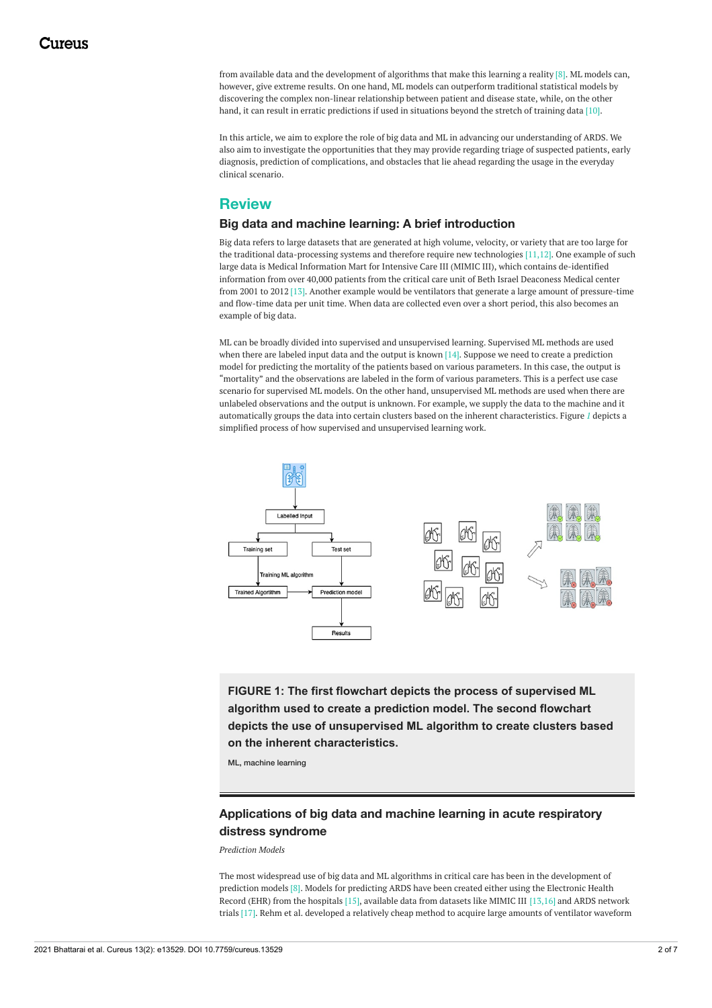from available data and the development of algorithms that make this learning a reality [8]. ML models can, however, give extreme results. On one hand, ML models can outperform traditional statistical models by discovering the complex non-linear relationship between patient and disease state, while, on the other hand, it can result in erratic predictions if used in situations beyond the stretch of training data [10].

In this article, we aim to explore the role of big data and ML in advancing our understanding of ARDS. We also aim to investigate the opportunities that they may provide regarding triage of suspected patients, early diagnosis, prediction of complications, and obstacles that lie ahead regarding the usage in the everyday clinical scenario.

# **Review**

### **Big data and machine learning: A brief introduction**

Big data refers to large datasets that are generated at high volume, velocity, or variety that are too large for the traditional data-processing systems and therefore require new technologies [11,12]. One example of such large data is Medical Information Mart for Intensive Care III (MIMIC III), which contains de-identified information from over 40,000 patients from the critical care unit of Beth Israel Deaconess Medical center from 2001 to 2012 [13]. Another example would be ventilators that generate a large amount of pressure-time and flow-time data per unit time. When data are collected even over a short period, this also becomes an example of big data.

ML can be broadly divided into supervised and unsupervised learning. Supervised ML methods are used when there are labeled input data and the output is known [14]. Suppose we need to create a prediction model for predicting the mortality of the patients based on various parameters. In this case, the output is "mortality" and the observations are labeled in the form of various parameters. This is a perfect use case scenario for supervised ML models. On the other hand, unsupervised ML methods are used when there are unlabeled observations and the output is unknown. For example, we supply the data to the machine and it automatically groups the data into certain clusters based on the inherent characteristics. Figure *[1](#page-1-0)* depicts a simplified process of how supervised and unsupervised learning work.

<span id="page-1-0"></span>

**FIGURE 1: The first flowchart depicts the process of supervised ML algorithm used to create a prediction model. The second flowchart depicts the use of unsupervised ML algorithm to create clusters based on the inherent characteristics.**

ML, machine learning

# **Applications of big data and machine learning in acute respiratory distress syndrome**

*Prediction Models*

The most widespread use of big data and ML algorithms in critical care has been in the development of prediction models [8]. Models for predicting ARDS have been created either using the Electronic Health Record (EHR) from the hospitals [15], available data from datasets like MIMIC III [13,16] and ARDS network trials [17]. Rehm et al. developed a relatively cheap method to acquire large amounts of ventilator waveform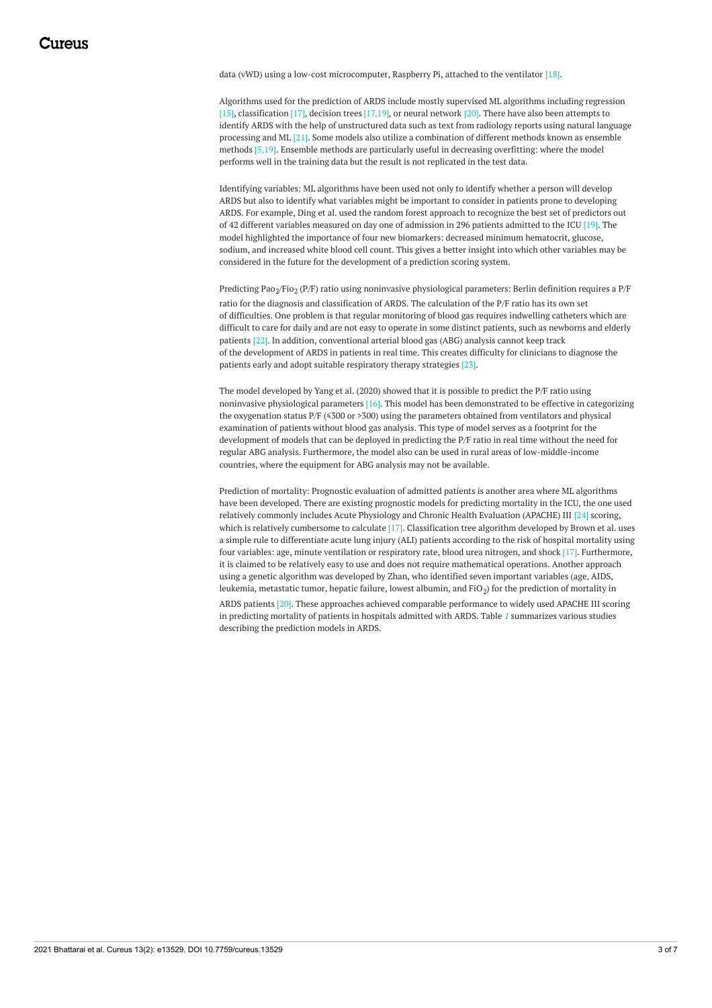data (vWD) using a low-cost microcomputer, Raspberry Pi, attached to the ventilator [18].

Algorithms used for the prediction of ARDS include mostly supervised ML algorithms including regression [15], classification [17], decision trees [17,19], or neural network [20]. There have also been attempts to identify ARDS with the help of unstructured data such as text from radiology reports using natural language processing and ML [21]. Some models also utilize a combination of different methods known as ensemble methods [5,19]. Ensemble methods are particularly useful in decreasing overfitting: where the model performs well in the training data but the result is not replicated in the test data.

Identifying variables: ML algorithms have been used not only to identify whether a person will develop ARDS but also to identify what variables might be important to consider in patients prone to developing ARDS. For example, Ding et al. used the random forest approach to recognize the best set of predictors out of 42 different variables measured on day one of admission in 296 patients admitted to the ICU [19]. The model highlighted the importance of four new biomarkers: decreased minimum hematocrit, glucose, sodium, and increased white blood cell count. This gives a better insight into which other variables may be considered in the future for the development of a prediction scoring system.

Predicting Pao<sub>2</sub>/Fio<sub>2</sub> (P/F) ratio using noninvasive physiological parameters: Berlin definition requires a P/F ratio for the diagnosis and classification of ARDS. The calculation of the P/F ratio has its own set of difficulties. One problem is that regular monitoring of blood gas requires indwelling catheters which are difficult to care for daily and are not easy to operate in some distinct patients, such as newborns and elderly patients [22]. In addition, conventional arterial blood gas (ABG) analysis cannot keep track of the development of ARDS in patients in real time. This creates difficulty for clinicians to diagnose the patients early and adopt suitable respiratory therapy strategies [23].

The model developed by Yang et al. (2020) showed that it is possible to predict the P/F ratio using noninvasive physiological parameters [16]. This model has been demonstrated to be effective in categorizing the oxygenation status P/F ( $\leq 300$  or >300) using the parameters obtained from ventilators and physical examination of patients without blood gas analysis. This type of model serves as a footprint for the development of models that can be deployed in predicting the P/F ratio in real time without the need for regular ABG analysis. Furthermore, the model also can be used in rural areas of low-middle-income countries, where the equipment for ABG analysis may not be available.

Prediction of mortality: Prognostic evaluation of admitted patients is another area where ML algorithms have been developed. There are existing prognostic models for predicting mortality in the ICU, the one used relatively commonly includes Acute Physiology and Chronic Health Evaluation (APACHE) III [24] scoring, which is relatively cumbersome to calculate [17]. Classification tree algorithm developed by Brown et al. uses a simple rule to differentiate acute lung injury (ALI) patients according to the risk of hospital mortality using four variables: age, minute ventilation or respiratory rate, blood urea nitrogen, and shock [17]. Furthermore, it is claimed to be relatively easy to use and does not require mathematical operations. Another approach using a genetic algorithm was developed by Zhan, who identified seven important variables (age, AIDS, leukemia, metastatic tumor, hepatic failure, lowest albumin, and FiO $_2$ ) for the prediction of mortality in ARDS patients [20]. These approaches achieved comparable performance to widely used APACHE III scoring in predicting mortality of patients in hospitals admitted with ARDS. Table *[1](#page-3-0)* summarizes various studies describing the prediction models in ARDS.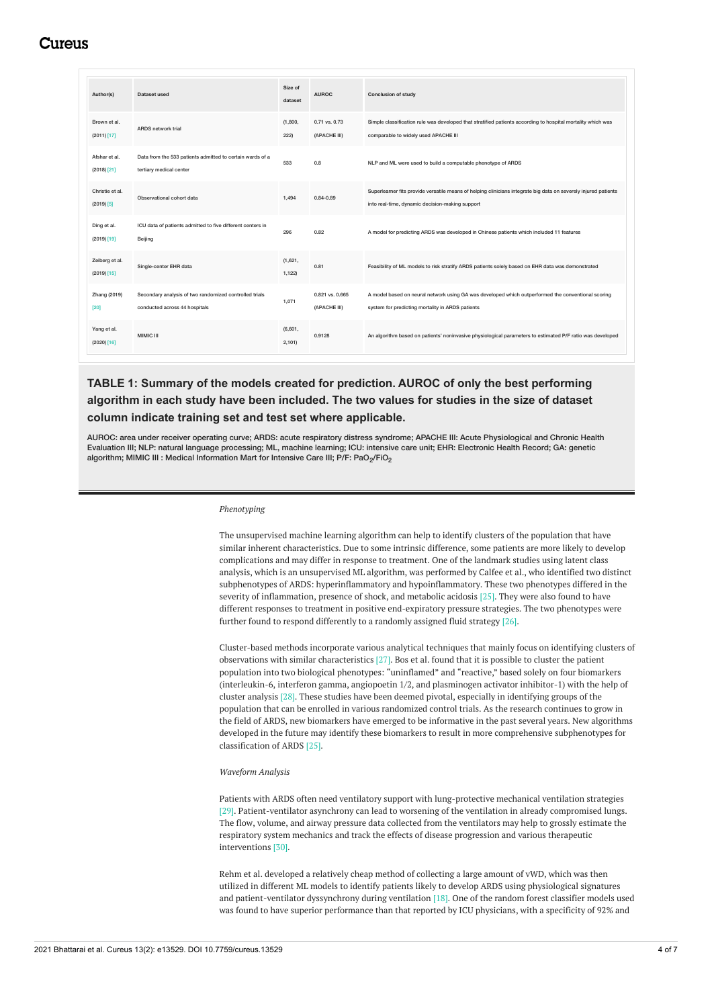# Cureus

<span id="page-3-0"></span>

| Author(s)                        | Dataset used                                                                            | Size of<br>dataset | <b>AUROC</b>                    | <b>Conclusion of study</b>                                                                                                                                         |
|----------------------------------|-----------------------------------------------------------------------------------------|--------------------|---------------------------------|--------------------------------------------------------------------------------------------------------------------------------------------------------------------|
| Brown et al.<br>(2011)[17]       | ARDS network trial                                                                      | (1,800,<br>222)    | 0.71 vs. 0.73<br>(APACHE III)   | Simple classification rule was developed that stratified patients according to hospital mortality which was<br>comparable to widely used APACHE III                |
| Afshar et al.<br>$(2018)$ $[21]$ | Data from the 533 patients admitted to certain wards of a<br>tertiary medical center    | 533                | 0.8                             | NLP and ML were used to build a computable phenotype of ARDS                                                                                                       |
| Christie et al.<br>$(2019)$ [5]  | Observational cohort data                                                               | 1,494              | $0.84 - 0.89$                   | Superlearner fits provide versatile means of helping clinicians integrate big data on severely injured patients<br>into real-time, dynamic decision-making support |
| Ding et al.<br>$(2019)$ [19]     | ICU data of patients admitted to five different centers in<br>Beijing                   | 296                | 0.82                            | A model for predicting ARDS was developed in Chinese patients which included 11 features                                                                           |
| Zeiberg et al.<br>(2019) [15]    | Single-center EHR data                                                                  | (1,621,<br>1,122)  | 0.81                            | Feasibility of ML models to risk stratify ARDS patients solely based on EHR data was demonstrated                                                                  |
| Zhang (2019)<br>[20]             | Secondary analysis of two randomized controlled trials<br>conducted across 44 hospitals | 1,071              | 0.821 vs. 0.665<br>(APACHE III) | A model based on neural network using GA was developed which outperformed the conventional scoring<br>system for predicting mortality in ARDS patients             |
| Yang et al.<br>$(2020)$ [16]     | MIMIC III                                                                               | (6,601,<br>2,101)  | 0.9128                          | An algorithm based on patients' noninvasive physiological parameters to estimated P/F ratio was developed                                                          |

**TABLE 1: Summary of the models created for prediction. AUROC of only the best performing algorithm in each study have been included. The two values for studies in the size of dataset column indicate training set and test set where applicable.**

AUROC: area under receiver operating curve; ARDS: acute respiratory distress syndrome; APACHE III: Acute Physiological and Chronic Health Evaluation III; NLP: natural language processing; ML, machine learning; ICU: intensive care unit; EHR: Electronic Health Record; GA: genetic algorithm; MIMIC III : Medical Information Mart for Intensive Care III; P/F: PaO<sub>2</sub>/FiO<sub>2</sub>

#### *Phenotyping*

The unsupervised machine learning algorithm can help to identify clusters of the population that have similar inherent characteristics. Due to some intrinsic difference, some patients are more likely to develop complications and may differ in response to treatment. One of the landmark studies using latent class analysis, which is an unsupervised ML algorithm, was performed by Calfee et al., who identified two distinct subphenotypes of ARDS: hyperinflammatory and hypoinflammatory. These two phenotypes differed in the severity of inflammation, presence of shock, and metabolic acidosis [25]. They were also found to have different responses to treatment in positive end-expiratory pressure strategies. The two phenotypes were further found to respond differently to a randomly assigned fluid strategy [26].

Cluster-based methods incorporate various analytical techniques that mainly focus on identifying clusters of observations with similar characteristics [27]. Bos et al. found that it is possible to cluster the patient population into two biological phenotypes: "uninflamed" and "reactive," based solely on four biomarkers (interleukin-6, interferon gamma, angiopoetin 1/2, and plasminogen activator inhibitor-1) with the help of cluster analysis [28]. These studies have been deemed pivotal, especially in identifying groups of the population that can be enrolled in various randomized control trials. As the research continues to grow in the field of ARDS, new biomarkers have emerged to be informative in the past several years. New algorithms developed in the future may identify these biomarkers to result in more comprehensive subphenotypes for classification of ARDS [25].

#### *Waveform Analysis*

Patients with ARDS often need ventilatory support with lung-protective mechanical ventilation strategies [29]. Patient-ventilator asynchrony can lead to worsening of the ventilation in already compromised lungs. The flow, volume, and airway pressure data collected from the ventilators may help to grossly estimate the respiratory system mechanics and track the effects of disease progression and various therapeutic interventions [30].

Rehm et al. developed a relatively cheap method of collecting a large amount of vWD, which was then utilized in different ML models to identify patients likely to develop ARDS using physiological signatures and patient-ventilator dyssynchrony during ventilation [18]. One of the random forest classifier models used was found to have superior performance than that reported by ICU physicians, with a specificity of 92% and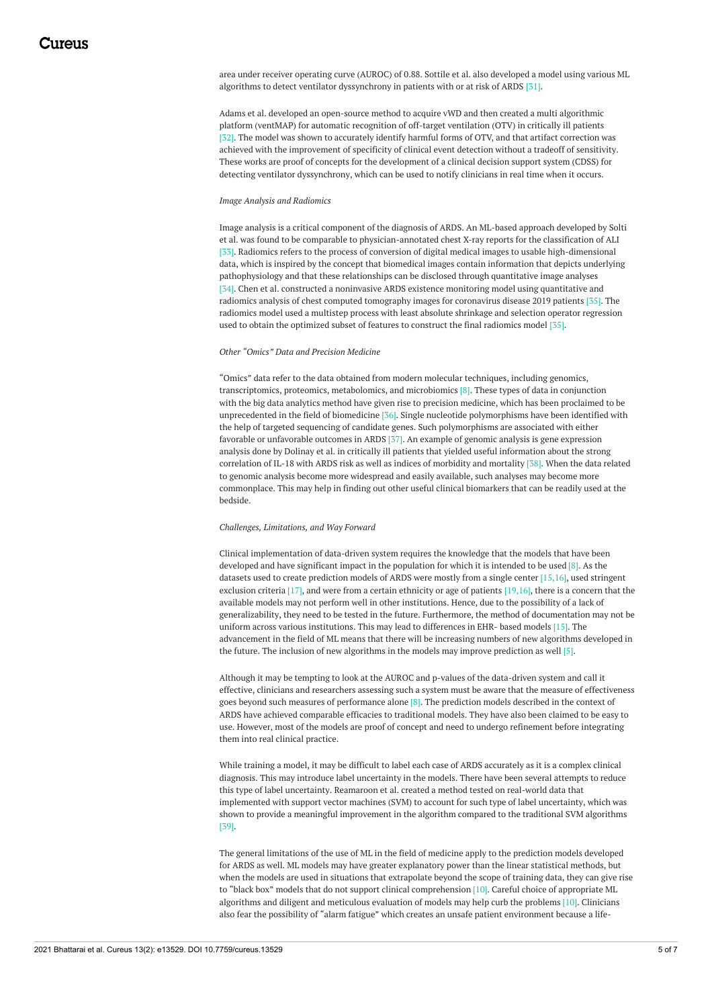area under receiver operating curve (AUROC) of 0.88. Sottile et al. also developed a model using various ML algorithms to detect ventilator dyssynchrony in patients with or at risk of ARDS [31].

Adams et al. developed an open-source method to acquire vWD and then created a multi algorithmic platform (ventMAP) for automatic recognition of off-target ventilation (OTV) in critically ill patients [32]. The model was shown to accurately identify harmful forms of OTV, and that artifact correction was achieved with the improvement of specificity of clinical event detection without a tradeoff of sensitivity. These works are proof of concepts for the development of a clinical decision support system (CDSS) for detecting ventilator dyssynchrony, which can be used to notify clinicians in real time when it occurs.

#### *Image Analysis and Radiomics*

Image analysis is a critical component of the diagnosis of ARDS. An ML-based approach developed by Solti et al. was found to be comparable to physician-annotated chest X-ray reports for the classification of ALI [33]. Radiomics refers to the process of conversion of digital medical images to usable high-dimensional data, which is inspired by the concept that biomedical images contain information that depicts underlying pathophysiology and that these relationships can be disclosed through quantitative image analyses [34]. Chen et al. constructed a noninvasive ARDS existence monitoring model using quantitative and radiomics analysis of chest computed tomography images for coronavirus disease 2019 patients [35]. The radiomics model used a multistep process with least absolute shrinkage and selection operator regression used to obtain the optimized subset of features to construct the final radiomics model [35].

#### *Other "Omics" Data and Precision Medicine*

"Omics" data refer to the data obtained from modern molecular techniques, including genomics, transcriptomics, proteomics, metabolomics, and microbiomics [8]. These types of data in conjunction with the big data analytics method have given rise to precision medicine, which has been proclaimed to be unprecedented in the field of biomedicine [36]. Single nucleotide polymorphisms have been identified with the help of targeted sequencing of candidate genes. Such polymorphisms are associated with either favorable or unfavorable outcomes in ARDS [37]. An example of genomic analysis is gene expression analysis done by Dolinay et al. in critically ill patients that yielded useful information about the strong correlation of IL-18 with ARDS risk as well as indices of morbidity and mortality [38]. When the data related to genomic analysis become more widespread and easily available, such analyses may become more commonplace. This may help in finding out other useful clinical biomarkers that can be readily used at the bedside.

#### *Challenges, Limitations, and Way Forward*

Clinical implementation of data-driven system requires the knowledge that the models that have been developed and have significant impact in the population for which it is intended to be used [8]. As the datasets used to create prediction models of ARDS were mostly from a single center [15,16], used stringent exclusion criteria  $[17]$ , and were from a certain ethnicity or age of patients  $[19,16]$ , there is a concern that the available models may not perform well in other institutions. Hence, due to the possibility of a lack of generalizability, they need to be tested in the future. Furthermore, the method of documentation may not be uniform across various institutions. This may lead to differences in EHR- based models [15]. The advancement in the field of ML means that there will be increasing numbers of new algorithms developed in the future. The inclusion of new algorithms in the models may improve prediction as well [5].

Although it may be tempting to look at the AUROC and p-values of the data-driven system and call it effective, clinicians and researchers assessing such a system must be aware that the measure of effectiveness goes beyond such measures of performance alone [8]. The prediction models described in the context of ARDS have achieved comparable efficacies to traditional models. They have also been claimed to be easy to use. However, most of the models are proof of concept and need to undergo refinement before integrating them into real clinical practice.

While training a model, it may be difficult to label each case of ARDS accurately as it is a complex clinical diagnosis. This may introduce label uncertainty in the models. There have been several attempts to reduce this type of label uncertainty. Reamaroon et al. created a method tested on real-world data that implemented with support vector machines (SVM) to account for such type of label uncertainty, which was shown to provide a meaningful improvement in the algorithm compared to the traditional SVM algorithms [39].

The general limitations of the use of ML in the field of medicine apply to the prediction models developed for ARDS as well. ML models may have greater explanatory power than the linear statistical methods, but when the models are used in situations that extrapolate beyond the scope of training data, they can give rise to "black box" models that do not support clinical comprehension [10]. Careful choice of appropriate ML algorithms and diligent and meticulous evaluation of models may help curb the problems [10]. Clinicians also fear the possibility of "alarm fatigue" which creates an unsafe patient environment because a life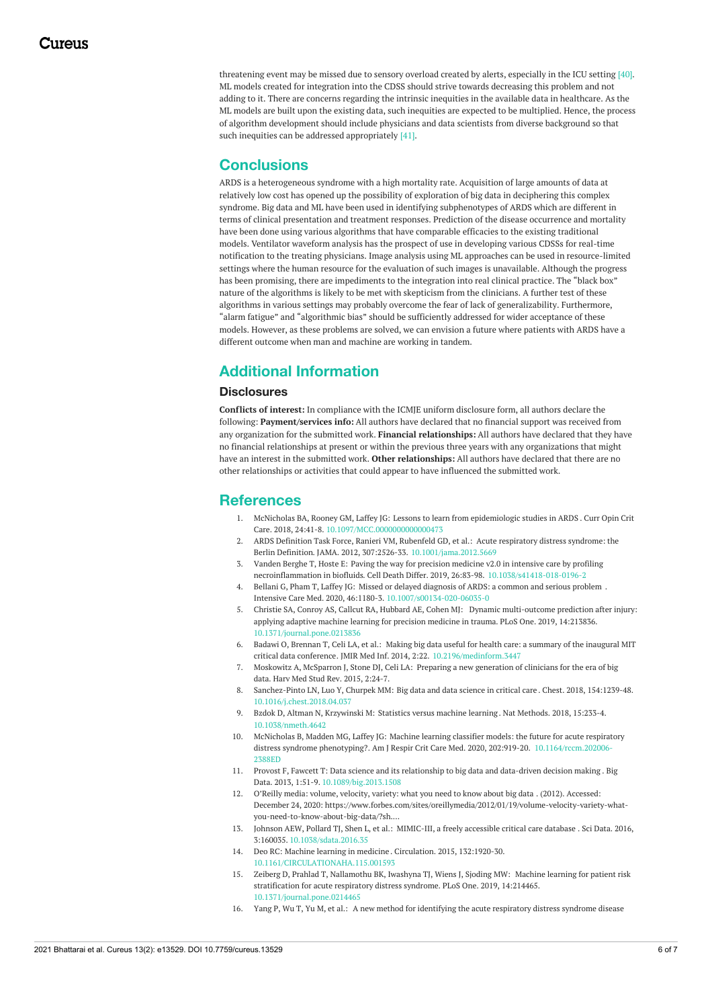threatening event may be missed due to sensory overload created by alerts, especially in the ICU setting [40]. ML models created for integration into the CDSS should strive towards decreasing this problem and not adding to it. There are concerns regarding the intrinsic inequities in the available data in healthcare. As the ML models are built upon the existing data, such inequities are expected to be multiplied. Hence, the process of algorithm development should include physicians and data scientists from diverse background so that such inequities can be addressed appropriately [41].

### **Conclusions**

ARDS is a heterogeneous syndrome with a high mortality rate. Acquisition of large amounts of data at relatively low cost has opened up the possibility of exploration of big data in deciphering this complex syndrome. Big data and ML have been used in identifying subphenotypes of ARDS which are different in terms of clinical presentation and treatment responses. Prediction of the disease occurrence and mortality have been done using various algorithms that have comparable efficacies to the existing traditional models. Ventilator waveform analysis has the prospect of use in developing various CDSSs for real-time notification to the treating physicians. Image analysis using ML approaches can be used in resource-limited settings where the human resource for the evaluation of such images is unavailable. Although the progress has been promising, there are impediments to the integration into real clinical practice. The "black box" nature of the algorithms is likely to be met with skepticism from the clinicians. A further test of these algorithms in various settings may probably overcome the fear of lack of generalizability. Furthermore, "alarm fatigue" and "algorithmic bias" should be sufficiently addressed for wider acceptance of these models. However, as these problems are solved, we can envision a future where patients with ARDS have a different outcome when man and machine are working in tandem.

# **Additional Information**

### **Disclosures**

**Conflicts of interest:** In compliance with the ICMJE uniform disclosure form, all authors declare the following: **Payment/services info:** All authors have declared that no financial support was received from any organization for the submitted work. **Financial relationships:** All authors have declared that they have no financial relationships at present or within the previous three years with any organizations that might have an interest in the submitted work. **Other relationships:** All authors have declared that there are no other relationships or activities that could appear to have influenced the submitted work.

### **References**

- 1. McNicholas BA, Rooney GM, Laffey JG: Lessons to learn from [epidemiologic](https://dx.doi.org/10.1097/MCC.0000000000000473) studies in ARDS . Curr Opin Crit Care. 2018, 24:41-8. [10.1097/MCC.0000000000000473](https://dx.doi.org/10.1097/MCC.0000000000000473)
- 2. ARDS Definition Task Force, Ranieri VM, Rubenfeld GD, et al.: Acute respiratory distress syndrome: the Berlin Definition. JAMA. 2012, 307:2526-33. [10.1001/jama.2012.5669](https://dx.doi.org/10.1001/jama.2012.5669)
- 3. Vanden Berghe T, Hoste E: Paving the way for precision medicine v2.0 in intensive care by profiling necroinflammation in biofluids. Cell Death Differ. 2019, 26:83-98. [10.1038/s41418-018-0196-2](https://dx.doi.org/10.1038/s41418-018-0196-2)
- 4. Bellani G, Pham T, Laffey JG: Missed or delayed [diagnosis](https://dx.doi.org/10.1007/s00134-020-06035-0) of ARDS: a common and serious problem . Intensive Care Med. 2020, 46:1180-3. [10.1007/s00134-020-06035-0](https://dx.doi.org/10.1007/s00134-020-06035-0)
- 5. Christie SA, Conroy AS, Callcut RA, Hubbard AE, Cohen MJ: Dynamic [multi-outcome](https://dx.doi.org/10.1371/journal.pone.0213836) prediction after injury: applying adaptive machine learning for precision medicine in trauma. PLoS One. 2019, 14:213836. [10.1371/journal.pone.0213836](https://dx.doi.org/10.1371/journal.pone.0213836)
- 6. Badawi O, Brennan T, Celi LA, et al.: Making big data useful for health care: a summary of the inaugural MIT critical data conference. JMIR Med Inf. 2014, 2:22. [10.2196/medinform.3447](https://dx.doi.org/10.2196/medinform.3447)
- 7. Moskowitz A, [McSparron](https://www.ncbi.nlm.nih.gov/pmc/articles/PMC4327872/) J, Stone DJ, Celi LA: Preparing a new generation of clinicians for the era of big data. Harv Med Stud Rev. 2015, 2:24-7.
- 8. Sanchez-Pinto LN, Luo Y, Churpek MM: Big data and data [science](https://dx.doi.org/10.1016/j.chest.2018.04.037) in critical care . Chest. 2018, 154:1239-48. [10.1016/j.chest.2018.04.037](https://dx.doi.org/10.1016/j.chest.2018.04.037)
- 9. Bzdok D, Altman N, Krzywinski M: [Statistics](https://dx.doi.org/10.1038/nmeth.4642) versus machine learning. Nat Methods. 2018, 15:233-4. [10.1038/nmeth.4642](https://dx.doi.org/10.1038/nmeth.4642)
- 10. McNicholas B, Madden MG, Laffey JG: Machine learning classifier models: the future for acute respiratory distress syndrome phenotyping?. Am J Respir Crit Care Med. 2020, 202:919-20. [10.1164/rccm.202006-](https://dx.doi.org/10.1164/rccm.202006-2388ED) **2388ED**
- 11. Provost F, Fawcett T: Data science and its [relationship](https://dx.doi.org/10.1089/big.2013.1508) to big data and data-driven decision making . Big Data. 2013, 1:51-9. [10.1089/big.2013.1508](https://dx.doi.org/10.1089/big.2013.1508)
- 12. O'Reilly media: volume, [velocity,](https://www.forbes.com/sites/oreillymedia/2012/01/19/volume-velocity-variety-what-you-need-to-know-about-big-data/?sh=493e3d021b6d) variety: what you need to know about big data . (2012). Accessed: December 24, 2020: [https://www.forbes.com/sites/oreillymedia/2012/01/19/volume-velocity-variety-what](https://www.forbes.com/sites/oreillymedia/2012/01/19/volume-velocity-variety-what-you-need-to-know-about-big-data/?sh=493e3d021b6d)you-need-to-know-about-big-data/?sh....
- 13. Johnson AEW, Pollard TJ, Shen L, et al.: [MIMIC-III,](https://dx.doi.org/10.1038/sdata.2016.35) a freely accessible critical care database . Sci Data. 2016, 3:160035. [10.1038/sdata.2016.35](https://dx.doi.org/10.1038/sdata.2016.35)
- 14. Deo RC: Machine learning in [medicine](https://dx.doi.org/10.1161/CIRCULATIONAHA.115.001593) . Circulation. 2015, 132:1920-30. [10.1161/CIRCULATIONAHA.115.001593](https://dx.doi.org/10.1161/CIRCULATIONAHA.115.001593)
- 15. Zeiberg D, Prahlad T, Nallamothu BK, Iwashyna TJ, Wiens J, Sjoding MW: Machine learning for patient risk [stratification](https://dx.doi.org/10.1371/journal.pone.0214465) for acute respiratory distress syndrome. PLoS One. 2019, 14:214465. [10.1371/journal.pone.0214465](https://dx.doi.org/10.1371/journal.pone.0214465)
- 16. Yang P, Wu T, Yu M, et al.: A new method for [identifying](https://dx.doi.org/10.1371/journal.pone.0226962) the acute respiratory distress syndrome disease